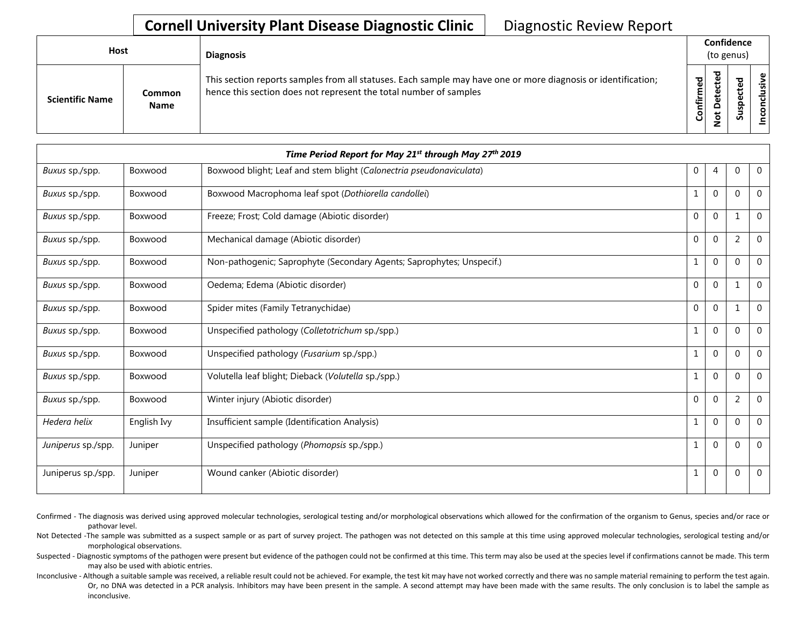## **Cornell University Plant Disease Diagnostic Clinic | Diagnostic Review Report**

| Host                   |                              | <b>Diagnosis</b>                                                                                                                                                                   |           | Confidence<br>(to genus)    |   |                 |
|------------------------|------------------------------|------------------------------------------------------------------------------------------------------------------------------------------------------------------------------------|-----------|-----------------------------|---|-----------------|
| <b>Scientific Name</b> | <b>Common</b><br><b>Name</b> | This section reports samples from all statuses. Each sample may have one or more diagnosis or identification;<br>hence this section does not represent the total number of samples | Confirmed | ᇃ<br>Φ<br>سه<br>≏<br>پ<br>– | ທ | ω<br>usiv<br>᠊ᠣ |

|                    |             | Time Period Report for May 21 <sup>st</sup> through May 27 <sup>th</sup> 2019 |                |              |                |                |
|--------------------|-------------|-------------------------------------------------------------------------------|----------------|--------------|----------------|----------------|
| Buxus sp./spp.     | Boxwood     | Boxwood blight; Leaf and stem blight (Calonectria pseudonaviculata)           | $\mathbf 0$    | 4            | 0              | $\mathbf 0$    |
| Buxus sp./spp.     | Boxwood     | Boxwood Macrophoma leaf spot (Dothiorella candollei)                          | $\mathbf{1}$   | $\mathbf{0}$ | $\Omega$       | $\mathbf 0$    |
| Buxus sp./spp.     | Boxwood     | Freeze; Frost; Cold damage (Abiotic disorder)                                 | $\overline{0}$ | $\mathbf{0}$ | $\mathbf{1}$   | $\mathbf 0$    |
| Buxus sp./spp.     | Boxwood     | Mechanical damage (Abiotic disorder)                                          | $\mathbf{0}$   | $\mathbf 0$  | $\overline{2}$ | 0              |
| Buxus sp./spp.     | Boxwood     | Non-pathogenic; Saprophyte (Secondary Agents; Saprophytes; Unspecif.)         | 1              | $\mathbf{0}$ | $\Omega$       | $\mathbf 0$    |
| Buxus sp./spp.     | Boxwood     | Oedema; Edema (Abiotic disorder)                                              | $\overline{0}$ | $\mathbf{0}$ | $\mathbf{1}$   | $\mathbf 0$    |
| Buxus sp./spp.     | Boxwood     | Spider mites (Family Tetranychidae)                                           | $\overline{0}$ | $\mathbf{0}$ | 1              | $\Omega$       |
| Buxus sp./spp.     | Boxwood     | Unspecified pathology (Colletotrichum sp./spp.)                               | $\mathbf{1}$   | $\mathbf{0}$ | $\Omega$       | $\overline{0}$ |
| Buxus sp./spp.     | Boxwood     | Unspecified pathology ( <i>Fusarium</i> sp./spp.)                             | 1              | $\mathbf 0$  | $\Omega$       | $\mathbf{0}$   |
| Buxus sp./spp.     | Boxwood     | Volutella leaf blight; Dieback (Volutella sp./spp.)                           | $\mathbf{1}$   | $\mathbf{0}$ | $\Omega$       | $\overline{0}$ |
| Buxus sp./spp.     | Boxwood     | Winter injury (Abiotic disorder)                                              | $\mathbf 0$    | $\mathbf 0$  | 2              | $\mathbf 0$    |
| Hedera helix       | English Ivy | Insufficient sample (Identification Analysis)                                 | 1              | $\mathbf 0$  | $\Omega$       | $\mathbf 0$    |
| Juniperus sp./spp. | Juniper     | Unspecified pathology (Phomopsis sp./spp.)                                    | $\mathbf{1}$   | $\mathbf{0}$ | $\Omega$       | $\mathbf{0}$   |
| Juniperus sp./spp. | Juniper     | Wound canker (Abiotic disorder)                                               | $\mathbf{1}$   | $\mathbf{0}$ | $\Omega$       | $\mathbf 0$    |

Confirmed - The diagnosis was derived using approved molecular technologies, serological testing and/or morphological observations which allowed for the confirmation of the organism to Genus, species and/or race or pathovar level.

Not Detected -The sample was submitted as a suspect sample or as part of survey project. The pathogen was not detected on this sample at this time using approved molecular technologies, serological testing and/or morphological observations.

Suspected - Diagnostic symptoms of the pathogen were present but evidence of the pathogen could not be confirmed at this time. This term may also be used at the species level if confirmations cannot be made. This term may also be used with abiotic entries.

Inconclusive - Although a suitable sample was received, a reliable result could not be achieved. For example, the test kit may have not worked correctly and there was no sample material remaining to perform the test again. Or, no DNA was detected in a PCR analysis. Inhibitors may have been present in the sample. A second attempt may have been made with the same results. The only conclusion is to label the sample as inconclusive.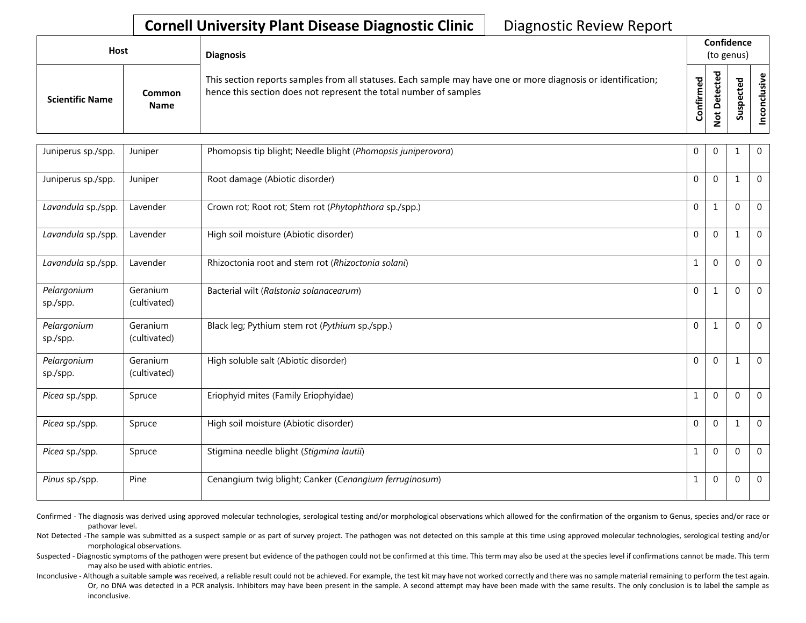## **Cornell University Plant Disease Diagnostic Clinic | Diagnostic Review Report**

| Host                   |                       | <b>Diagnosis</b>                                                                                                                                                                   |                   | Confidence<br>(to genus) |                       |          |
|------------------------|-----------------------|------------------------------------------------------------------------------------------------------------------------------------------------------------------------------------|-------------------|--------------------------|-----------------------|----------|
| <b>Scientific Name</b> | Common<br><b>Name</b> | This section reports samples from all statuses. Each sample may have one or more diagnosis or identification;<br>hence this section does not represent the total number of samples | ъ<br>ω<br>Confirm | ъ<br>$\Omega$            | Φ<br>ω<br>요<br>s<br>Ū | စ္၊<br>≌ |

| Juniperus sp./spp.      | Juniper                  | Phomopsis tip blight; Needle blight (Phomopsis juniperovora) | $\mathbf 0$  | $\mathbf 0$  |              | $\overline{0}$ |
|-------------------------|--------------------------|--------------------------------------------------------------|--------------|--------------|--------------|----------------|
| Juniperus sp./spp.      | Juniper                  | Root damage (Abiotic disorder)                               | $\mathbf{0}$ | $\mathbf{0}$ | $\mathbf{1}$ | $\mathbf 0$    |
| Lavandula sp./spp.      | Lavender                 | Crown rot; Root rot; Stem rot (Phytophthora sp./spp.)        | $\mathbf{0}$ | $\mathbf{1}$ | $\Omega$     | $\mathbf 0$    |
| Lavandula sp./spp.      | Lavender                 | High soil moisture (Abiotic disorder)                        | $\mathbf 0$  | $\Omega$     |              | $\overline{0}$ |
| Lavandula sp./spp.      | Lavender                 | Rhizoctonia root and stem rot (Rhizoctonia solani)           | 1            | $\mathbf{0}$ | $\Omega$     | $\overline{0}$ |
| Pelargonium<br>sp./spp. | Geranium<br>(cultivated) | Bacterial wilt (Ralstonia solanacearum)                      | $\mathbf{0}$ | $\mathbf{1}$ | $\Omega$     | $\Omega$       |
| Pelargonium<br>sp./spp. | Geranium<br>(cultivated) | Black leg; Pythium stem rot (Pythium sp./spp.)               | $\mathbf 0$  | 1            | $\Omega$     | $\overline{0}$ |
| Pelargonium<br>sp./spp. | Geranium<br>(cultivated) | High soluble salt (Abiotic disorder)                         | $\Omega$     | $\Omega$     | $\mathbf{1}$ | $\overline{0}$ |
| Picea sp./spp.          | Spruce                   | Eriophyid mites (Family Eriophyidae)                         | $\mathbf{1}$ | $\Omega$     | $\Omega$     | $\overline{0}$ |
| Picea sp./spp.          | Spruce                   | High soil moisture (Abiotic disorder)                        | $\mathbf 0$  | $\mathbf{0}$ | 1            | $\mathbf 0$    |
| Picea sp./spp.          | Spruce                   | Stigmina needle blight (Stigmina lautii)                     | 1            | $\mathbf{0}$ | $\Omega$     | $\mathbf 0$    |
| Pinus sp./spp.          | Pine                     | Cenangium twig blight; Canker (Cenangium ferruginosum)       | 1            | $\mathbf{0}$ | $\Omega$     | $\mathbf 0$    |

Confirmed - The diagnosis was derived using approved molecular technologies, serological testing and/or morphological observations which allowed for the confirmation of the organism to Genus, species and/or race or pathovar level.

Not Detected -The sample was submitted as a suspect sample or as part of survey project. The pathogen was not detected on this sample at this time using approved molecular technologies, serological testing and/or morphological observations.

Suspected - Diagnostic symptoms of the pathogen were present but evidence of the pathogen could not be confirmed at this time. This term may also be used at the species level if confirmations cannot be made. This term may also be used with abiotic entries.

Inconclusive - Although a suitable sample was received, a reliable result could not be achieved. For example, the test kit may have not worked correctly and there was no sample material remaining to perform the test again. Or, no DNA was detected in a PCR analysis. Inhibitors may have been present in the sample. A second attempt may have been made with the same results. The only conclusion is to label the sample as inconclusive.